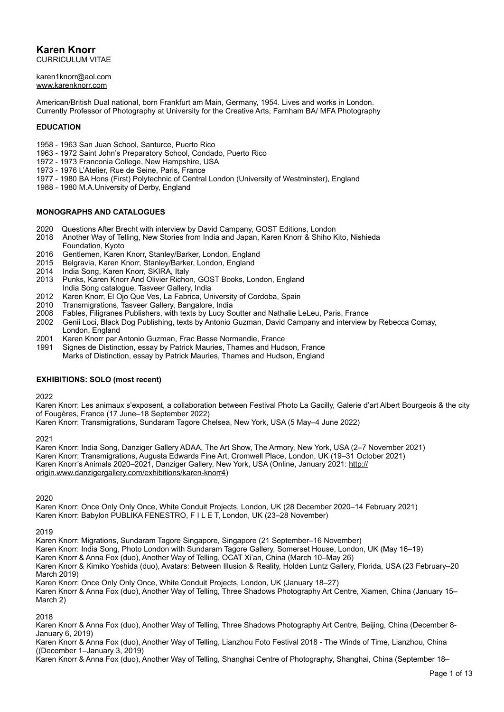**Karen Knorr** CURRICULUM VITAE

[karen1knorr@aol.com](mailto:karen1knorr@aol.com)  [www.karenknorr.com](http://www.karenknorr.com/)

American/British Dual national, born Frankfurt am Main, Germany, 1954. Lives and works in London. Currently Professor of Photography at University for the Creative Arts, Farnham BA/ MFA Photography

### **EDUCATION**

- 1958 1963 San Juan School, Santurce, Puerto Rico
- 1963 1972 Saint John's Preparatory School, Condado, Puerto Rico
- 1972 1973 Franconia College, New Hampshire, USA
- 1973 1976 L'Atelier, Rue de Seine, Paris, France
- 1977 1980 BA Hons (First) Polytechnic of Central London (University of Westminster), England
- 1988 1980 M.A.University of Derby, England

### **MONOGRAPHS AND CATALOGUES**

- 2020 Questions After Brecht with interview by David Campany, GOST Editions, London
- 2018 Another Way of Telling, New Stories from India and Japan, Karen Knorr & Shiho Kito, Nishieda Foundation, Kyoto
- 2016 Gentlemen, Karen Knorr, Stanley/Barker, London, England
- 2015 Belgravia, Karen Knorr, Stanley/Barker, London, England<br>2014 India Song, Karen Knorr, SKIRA, Italy
- India Song, Karen Knorr, SKIRA, Italy
- 2013 Punks, Karen Knorr And Olivier Richon, GOST Books, London, England India Song catalogue, Tasveer Gallery, India
- 2012 Karen Knorr, El Ojo Que Ves, La Fabrica, University of Cordoba, Spain<br>2010 Transmigrations, Tasveer Gallery, Bangalore, India
- 2010 Transmigrations, Tasveer Gallery, Bangalore, India
- 2008 Fables, Filigranes Publishers, with texts by Lucy Soutter and Nathalie LeLeu, Paris, France
- 2002 Genii Loci, Black Dog Publishing, texts by Antonio Guzman, David Campany and interview by Rebecca Comay, London, England
- 
- 2001 Karen Knorr par Antonio Guzman, Frac Basse Normandie, France Signes de Distinction, essay by Patrick Mauries, Thames and Hudson, France
	- Marks of Distinction, essay by Patrick Mauries, Thames and Hudson, England

#### **EXHIBITIONS: SOLO (most recent)**

2022

Karen Knorr: Les animaux s'exposent, a collaboration between Festival Photo La Gacilly, Galerie d'art Albert Bourgeois & the city of Fougères, France (17 June–18 September 2022)

Karen Knorr: Transmigrations, Sundaram Tagore Chelsea, New York, USA (5 May–4 June 2022)

2021

Karen Knorr: India Song, Danziger Gallery ADAA, The Art Show, The Armory, New York, USA (2–7 November 2021) Karen Knorr: Transmigrations, Augusta Edwards Fine Art, Cromwell Place, London, UK (19–31 October 2021) Karen Knorr's Animals 2020–2021, Danziger Gallery, New York, USA (Online, January 2021: [http://](http://origin.www.danzigergallery.com/exhibitions/karen-knorr4) [origin.www.danzigergallery.com/exhibitions/karen-knorr4\)](http://origin.www.danzigergallery.com/exhibitions/karen-knorr4)

2020

Karen Knorr: Once Only Only Once, White Conduit Projects, London, UK (28 December 2020–14 February 2021) Karen Knorr: Babylon PUBLIKA FENESTRO, F I L E T, London, UK (23–28 November)

2019

Karen Knorr: Migrations, Sundaram Tagore Singapore, Singapore (21 September–16 November) Karen Knorr: India Song, Photo London with Sundaram Tagore Gallery, Somerset House, London, UK (May 16–19) Karen Knorr & Anna Fox (duo), Another Way of Telling, OCAT Xi'an, China (March 10–May 26) Karen Knorr & Kimiko Yoshida (duo), Avatars: Between Illusion & Reality, Holden Luntz Gallery, Florida, USA (23 February–20 March 2019) Karen Knorr: Once Only Only Once, White Conduit Projects, London, UK (January 18–27)

Karen Knorr & Anna Fox (duo), Another Way of Telling, Three Shadows Photography Art Centre, Xiamen, China (January 15– March 2)

2018

Karen Knorr & Anna Fox (duo), Another Way of Telling, Three Shadows Photography Art Centre, Beijing, China (December 8- January 6, 2019)

Karen Knorr & Anna Fox (duo), Another Way of Telling, Lianzhou Foto Festival 2018 - The Winds of Time, Lianzhou, China ((December 1–January 3, 2019)

Karen Knorr & Anna Fox (duo), Another Way of Telling, Shanghai Centre of Photography, Shanghai, China (September 18–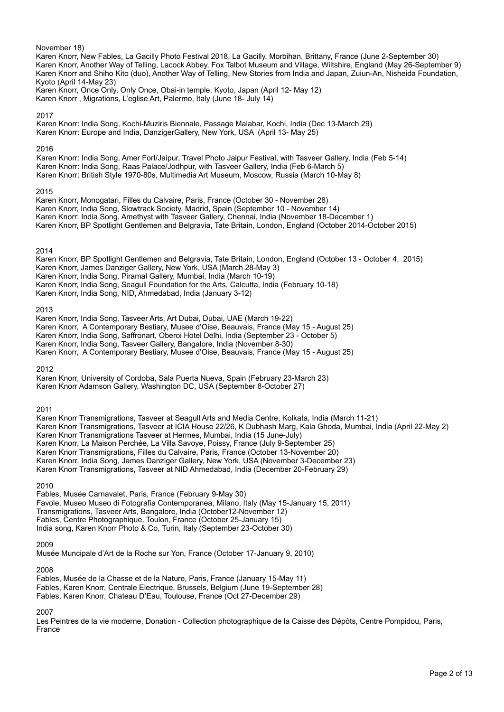# November 18) Karen Knorr, New Fables, La Gacilly Photo Festival 2018, La Gacilly, Morbihan, Brittany, France (June 2-September 30) Karen Knorr, Another Way of Telling, Lacock Abbey, Fox Talbot Museum and Village, Wiltshire, England (May 26-September 9) Karen Knorr and Shiho Kito (duo), Another Way of Telling, New Stories from India and Japan, Zuiun-An, Nisheida Foundation, Kyoto (April 14-May 23) Karen Knorr, Once Only, Only Once, Obai-in temple, Kyoto, Japan (April 12- May 12) Karen Knorr , Migrations, L'eglise Art, Palermo, Italy (June 18- July 14) 2017 Karen Knorr: India Song, Kochi-Muziris Biennale, Passage Malabar, Kochi, India (Dec 13-March 29) Karen Knorr: Europe and India, DanzigerGallery, New York, USA (April 13- May 25) 2016 Karen Knorr: India Song, Amer Fort/Jaipur, Travel Photo Jaipur Festival, with Tasveer Gallery, India (Feb 5-14) Karen Knorr: India Song, Raas Palace/Jodhpur, with Tasveer Gallery, India (Feb 6-March 5) Karen Knorr: British Style 1970-80s, Multimedia Art Museum, Moscow, Russia (March 10-May 8) 2015 Karen Knorr, Monogatari, Filles du Calvaire, Paris, France (October 30 - November 28) Karen Knorr, India Song, Slowtrack Society, Madrid, Spain (September 10 - November 14) Karen Knorr: India Song, Amethyst with Tasveer Gallery, Chennai, India (November 18-December 1) Karen Knorr, BP Spotlight Gentlemen and Belgravia, Tate Britain, London, England (October 2014-October 2015) 2014 Karen Knorr, BP Spotlight Gentlemen and Belgravia, Tate Britain, London, England (October 13 - October 4, 2015) Karen Knorr, James Danziger Gallery, New York, USA (March 28-May 3) Karen Knorr, India Song, Piramal Gallery, Mumbai, India (March 10-19) Karen Knorr, India Song, Seagull Foundation for the Arts, Calcutta, India (February 10-18) Karen Knorr, India Song, NID, Ahmedabad, India (January 3-12) 2013 Karen Knorr, India Song, Tasveer Arts, Art Dubai, Dubai, UAE (March 19-22) Karen Knorr, A Contemporary Bestiary, Musee d'Oise, Beauvais, France (May 15 - August 25) Karen Knorr, India Song, Saffronart, Oberoi Hotel Delhi, India (September 23 - October 5) Karen Knorr, India Song, Tasveer Gallery, Bangalore, India (November 8-30) Karen Knorr, A Contemporary Bestiary, Musee d'Oise, Beauvais, France (May 15 - August 25) 2012 Karen Knorr, University of Cordoba, Sala Puerta Nueva, Spain (February 23-March 23) Karen Knorr Adamson Gallery, Washington DC, USA (September 8-October 27) 2011 Karen Knorr Transmigrations, Tasveer at Seagull Arts and Media Centre, Kolkata, India (March 11-21) Karen Knorr Transmigrations, Tasveer at ICIA House 22/26, K Dubhash Marg, Kala Ghoda, Mumbai, India (April 22-May 2) Karen Knorr Transmigrations Tasveer at Hermes, Mumbai, India (15 June-July) Karen Knorr, La Maison Perchée, La Villa Savoye, Poissy, France (July 9-September 25) Karen Knorr Transmigrations, Filles du Calvaire, Paris, France (October 13-November 20) Karen Knorr, India Song, James Danziger Gallery, New York, USA (November 3-December 23) Karen Knorr Transmigrations, Tasveer at NID Ahmedabad, India (December 20-February 29) 2010 Fables, Musée Carnavalet, Paris, France (February 9-May 30) Favole, Museo Museo di Fotografia Contemporanea, Milano, Italy (May 15-January 15, 2011) Transmigrations, Tasveer Arts, Bangalore, India (October12-November 12) Fables, Centre Photographique, Toulon, France (October 25-January 15) India song, Karen Knorr Photo & Co, Turin, Italy (September 23-October 30) 2009 Musée Muncipale d'Art de la Roche sur Yon, France (October 17-January 9, 2010) 2008

Fables, Musée de la Chasse et de la Nature, Paris, France (January 15-May 11) Fables, Karen Knorr, Centrale Electrique, Brussels, Belgium (June 19-September 28) Fables, Karen Knorr, Chateau D'Eau, Toulouse, France (Oct 27-December 29)

2007

Les Peintres de la vie moderne, Donation - Collection photographique de la Caisse des Dépôts, Centre Pompidou, Paris, France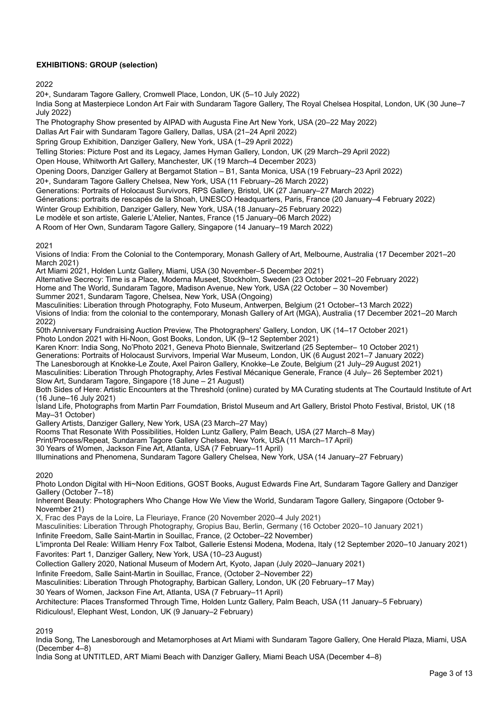# **EXHIBITIONS: GROUP (selection)**

2022

20+, Sundaram Tagore Gallery, Cromwell Place, London, UK (5–10 July 2022)

India Song at Masterpiece London Art Fair with Sundaram Tagore Gallery, The Royal Chelsea Hospital, London, UK (30 June–7 July 2022)

The Photography Show presented by AIPAD with Augusta Fine Art New York, USA (20–22 May 2022)

Dallas Art Fair with Sundaram Tagore Gallery, Dallas, USA (21–24 April 2022)

Spring Group Exhibition, Danziger Gallery, New York, USA (1–29 April 2022)

Telling Stories: Picture Post and its Legacy, James Hyman Gallery, London, UK (29 March–29 April 2022)

Open House, Whitworth Art Gallery, Manchester, UK (19 March–4 December 2023)

Opening Doors, Danziger Gallery at Bergamot Station – B1, Santa Monica, USA (19 February–23 April 2022)

20+, Sundaram Tagore Gallery Chelsea, New York, USA (11 February–26 March 2022)

Generations: Portraits of Holocaust Survivors, RPS Gallery, Bristol, UK (27 January–27 March 2022)

Génerations: portraits de rescapés de la Shoah, UNESCO Headquarters, Paris, France (20 January–4 February 2022)

Winter Group Exhibition, Danziger Gallery, New York, USA (18 January–25 February 2022)

Le modèle et son artiste, Galerie L'Atelier, Nantes, France (15 January–06 March 2022)

A Room of Her Own, Sundaram Tagore Gallery, Singapore (14 January–19 March 2022)

### 2021

Visions of India: From the Colonial to the Contemporary, Monash Gallery of Art, Melbourne, Australia (17 December 2021–20 March 2021)

Art Miami 2021, Holden Luntz Gallery, Miami, USA (30 November–5 December 2021)

Alternative Secrecy: Time is a Place, Moderna Museet, Stockholm, Sweden (23 October 2021–20 February 2022)

Home and The World, Sundaram Tagore, Madison Avenue, New York, USA (22 October – 30 November)

Summer 2021, Sundaram Tagore, Chelsea, New York, USA (Ongoing)

Masculinities: Liberation through Photography, Foto Museum, Antwerpen, Belgium (21 October–13 March 2022) Visions of India: from the colonial to the contemporary, Monash Gallery of Art (MGA), Australia (17 December 2021–20 March

2022) 50th Anniversary Fundraising Auction Preview, The Photographers' Gallery, London, UK (14–17 October 2021)

Photo London 2021 with Hi-Noon, Gost Books, London, UK (9–12 September 2021)

Karen Knorr: India Song, No'Photo 2021, Geneva Photo Biennale, Switzerland (25 September– 10 October 2021)

Generations: Portraits of Holocaust Survivors, Imperial War Museum, London, UK (6 August 2021–7 January 2022)

The Lanesborough at Knokke-Le Zoute, Axel Pairon Gallery, Knokke–Le Zoute, Belgium (21 July–29 August 2021)

Masculinities: Liberation Through Photography, Arles Festival Mécanique Generale, France (4 July– 26 September 2021) Slow Art, Sundaram Tagore, Singapore (18 June – 21 August)

Both Sides of Here: Artistic Encounters at the Threshold (online) curated by MA Curating students at The Courtauld Institute of Art (16 June–16 July 2021)

Island Life, Photographs from Martin Parr Foumdation, Bristol Museum and Art Gallery, Bristol Photo Festival, Bristol, UK (18 May–31 October)

Gallery Artists, Danziger Gallery, New York, USA (23 March–27 May)

Rooms That Resonate With Possibilities, Holden Luntz Gallery, Palm Beach, USA (27 March–8 May)

Print/Process/Repeat, Sundaram Tagore Gallery Chelsea, New York, USA (11 March–17 April)

30 Years of Women, Jackson Fine Art, Atlanta, USA (7 February–11 April)

Illuminations and Phenomena, Sundaram Tagore Gallery Chelsea, New York, USA (14 January–27 February)

# 2020

Photo London Digital with Hi~Noon Editions, GOST Books, August Edwards Fine Art, Sundaram Tagore Gallery and Danziger Gallery (October 7–18)

Inherent Beauty: Photographers Who Change How We View the World, Sundaram Tagore Gallery, Singapore (October 9- November 21)

X, Frac des Pays de la Loire, La Fleuriaye, France (20 November 2020–4 July 2021)

Masculinities: Liberation Through Photography, Gropius Bau, Berlin, Germany (16 October 2020–10 January 2021)

Infinite Freedom, Salle Saint-Martin in Souillac, France, (2 October–22 November)

L'impronta Del Reale: William Henry Fox Talbot, Gallerie Estensi Modena, Modena, Italy (12 September 2020–10 January 2021)

Favorites: Part 1, Danziger Gallery, New York, USA (10–23 August)

Collection Gallery 2020, National Museum of Modern Art, Kyoto, Japan (July 2020–January 2021)

Infinite Freedom, Salle Saint-Martin in Souillac, France, (October 2–November 22)

Masculinities: Liberation Through Photography, Barbican Gallery, London, UK (20 February–17 May)

30 Years of Women, Jackson Fine Art, Atlanta, USA (7 February–11 April)

Architecture: Places Transformed Through Time, Holden Luntz Gallery, Palm Beach, USA (11 January–5 February)

Ridiculous!, Elephant West, London, UK (9 January–2 February)

2019

India Song, The Lanesborough and Metamorphoses at Art Miami with Sundaram Tagore Gallery, One Herald Plaza, Miami, USA (December 4–8)

India Song at UNTITLED, ART Miami Beach with Danziger Gallery, Miami Beach USA (December 4–8)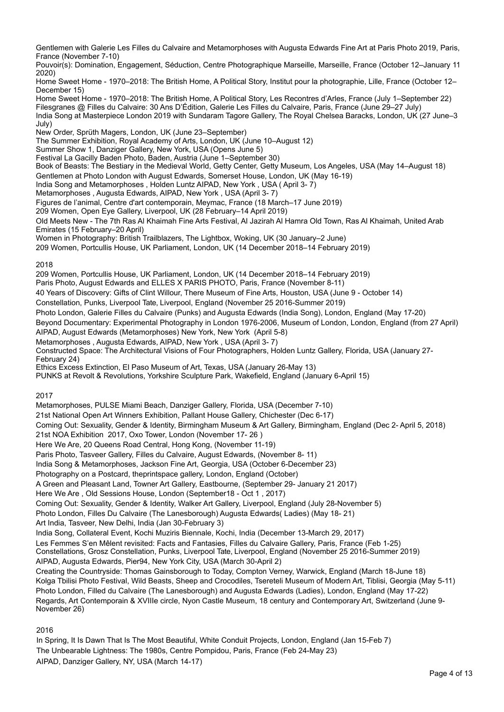Gentlemen with Galerie Les Filles du Calvaire and Metamorphoses with Augusta Edwards Fine Art at Paris Photo 2019, Paris, France (November 7-10)

Pouvoir(s): Domination, Engagement, Séduction, Centre Photographique Marseille, Marseille, France (October 12–January 11 2020)

Home Sweet Home - 1970–2018: The British Home, A Political Story, Institut pour la photographie, Lille, France (October 12– December 15)

Home Sweet Home - 1970–2018: The British Home, A Political Story, Les Recontres d'Arles, France (July 1–September 22) Filesgranes @ Filles du Calvaire: 30 Ans D'Édition, Galerie Les Filles du Calvaire, Paris, France (June 29–27 July) India Song at Masterpiece London 2019 with Sundaram Tagore Gallery, The Royal Chelsea Baracks, London, UK (27 June–3 July)

New Order, Sprüth Magers, London, UK (June 23–September)

The Summer Exhibition, Royal Academy of Arts, London, UK (June 10–August 12)

Summer Show 1, Danziger Gallery, New York, USA (Opens June 5)

Festival La Gacilly Baden Photo, Baden, Austria (June 1–September 30)

Book of Beasts: The Bestiary in the Medieval World, Getty Center, Getty Museum, Los Angeles, USA (May 14–August 18) Gentlemen at Photo London with August Edwards, Somerset House, London, UK (May 16-19)

India Song and Metamorphoses , Holden Luntz AIPAD, New York , USA ( April 3- 7)

Metamorphoses , Augusta Edwards, AIPAD, New York , USA (April 3- 7)

Figures de l'animal, Centre d'art contemporain, Meymac, France (18 March–17 June 2019)

209 Women, Open Eye Gallery, Liverpool, UK (28 February–14 April 2019)

Old Meets New - The 7th Ras Al Khaimah Fine Arts Festival, Al Jazirah Al Hamra Old Town, Ras Al Khaimah, United Arab Emirates (15 February–20 April)

Women in Photography: British Trailblazers, The Lightbox, Woking, UK (30 January–2 June)

209 Women, Portcullis House, UK Parliament, London, UK (14 December 2018–14 February 2019)

### 2018

209 Women, Portcullis House, UK Parliament, London, UK (14 December 2018–14 February 2019)

Paris Photo, August Edwards and ELLES X PARIS PHOTO, Paris, France (November 8-11)

40 Years of Discovery: Gifts of Clint Willour, There Museum of Fine Arts, Houston, USA (June 9 - October 14)

Constellation, Punks, Liverpool Tate, Liverpool, England (November 25 2016-Summer 2019)

Photo London, Galerie Filles du Calvaire (Punks) and Augusta Edwards (India Song), London, England (May 17-20)

Beyond Documentary: Experimental Photography in London 1976-2006, Museum of London, London, England (from 27 April) AIPAD, August Edwards (Metamorphoses) New York, New York (April 5-8)

Metamorphoses , Augusta Edwards, AIPAD, New York , USA (April 3- 7)

Constructed Space: The Architectural Visions of Four Photographers, Holden Luntz Gallery, Florida, USA (January 27- February 24)

Ethics Excess Extinction, El Paso Museum of Art, Texas, USA (January 26-May 13)

PUNKS at Revolt & Revolutions, Yorkshire Sculpture Park, Wakefield, England (January 6-April 15)

## 2017

Metamorphoses, PULSE Miami Beach, Danziger Gallery, Florida, USA (December 7-10)

21st National Open Art Winners Exhibition, Pallant House Gallery, Chichester (Dec 6-17)

Coming Out: Sexuality, Gender & Identity, Birmingham Museum & Art Gallery, Birmingham, England (Dec 2- April 5, 2018)

21st NOA Exhibition 2017, Oxo Tower, London (November 17- 26 )

Here We Are, 20 Queens Road Central, Hong Kong, (November 11-19)

Paris Photo, Tasveer Gallery, Filles du Calvaire, August Edwards, (November 8- 11)

India Song & Metamorphoses, Jackson Fine Art, Georgia, USA (October 6-December 23)

Photography on a Postcard, theprintspace gallery, London, England (October)

A Green and Pleasant Land, Towner Art Gallery, Eastbourne, (September 29- January 21 2017)

Here We Are , Old Sessions House, London (September18 - Oct 1 , 2017)

Coming Out: Sexuality, Gender & Identity, Walker Art Gallery, Liverpool, England (July 28-November 5)

Photo London, Filles Du Calvaire (The Lanesborough) Augusta Edwards( Ladies) (May 18- 21)

Art India, Tasveer, New Delhi, India (Jan 30-February 3)

India Song, Collateral Event, Kochi Muziris Biennale, Kochi, India (December 13-March 29, 2017)

Les Femmes S'en Mêlent revisited: Facts and Fantasies, Filles du Calvaire Gallery, Paris, France (Feb 1-25)

Constellations, Grosz Constellation, Punks, Liverpool Tate, Liverpool, England (November 25 2016-Summer 2019)

AIPAD, Augusta Edwards, Pier94, New York City, USA (March 30-April 2)

Creating the Countryside: Thomas Gainsborough to Today, Compton Verney, Warwick, England (March 18-June 18) Kolga Tbilisi Photo Festival, Wild Beasts, Sheep and Crocodiles, Tsereteli Museum of Modern Art, Tiblisi, Georgia (May 5-11) Photo London, Filled du Calvaire (The Lanesborough) and Augusta Edwards (Ladies), London, England (May 17-22) Regards, Art Contemporain & XVIIIe circle, Nyon Castle Museum, 18 century and Contemporary Art, Switzerland (June 9- November 26)

2016

In Spring, It Is Dawn That Is The Most Beautiful, White Conduit Projects, London, England (Jan 15-Feb 7) The Unbearable Lightness: The 1980s, Centre Pompidou, Paris, France (Feb 24-May 23) AIPAD, Danziger Gallery, NY, USA (March 14-17)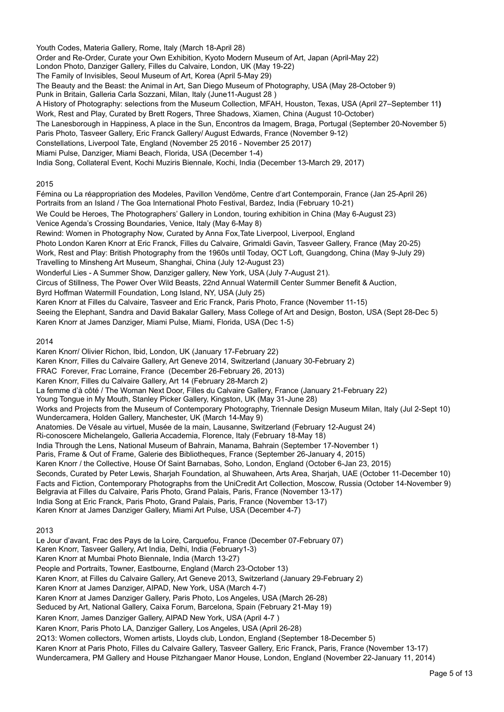Youth Codes, Materia Gallery, Rome, Italy (March 18-April 28) Order and Re-Order, Curate your Own Exhibition, Kyoto Modern Museum of Art, Japan (April-May 22) London Photo, Danziger Gallery, Filles du Calvaire, London, UK (May 19-22) The Family of Invisibles, Seoul Museum of Art, Korea (April 5-May 29) The Beauty and the Beast: the Animal in Art, San Diego Museum of Photography, USA (May 28-October 9) Punk in Britain, Galleria Carla Sozzani, Milan, Italy (June11-August 28 ) A History of Photography: selections from the Museum Collection, MFAH, Houston, Texas, USA (April 27–September 11**)** Work, Rest and Play, Curated by Brett Rogers, Three Shadows, Xiamen, China (August 10-October) The Lanesborough in Happiness, A place in the Sun, Encontros da Imagem, Braga, Portugal (September 20-November 5) Paris Photo, Tasveer Gallery, Eric Franck Gallery/ August Edwards, France (November 9-12) Constellations, Liverpool Tate, England (November 25 2016 - November 25 2017) Miami Pulse, Danziger, Miami Beach, Florida, USA (December 1-4) India Song, Collateral Event, Kochi Muziris Biennale, Kochi, India (December 13-March 29, 2017)

## 2015

Fémina ou La réappropriation des Modeles, Pavillon Vendôme, Centre d'art Contemporain, France (Jan 25-April 26) Portraits from an Island / The Goa International Photo Festival, Bardez, India (February 10-21) We Could be Heroes, The Photographers' Gallery in London, touring exhibition in China (May 6-August 23) Venice Agenda's Crossing Boundaries, Venice, Italy (May 6-May 8) Rewind: Women in Photography Now, Curated by Anna Fox,Tate Liverpool, Liverpool, England Photo London Karen Knorr at Eric Franck, Filles du Calvaire, Grimaldi Gavin, Tasveer Gallery, France (May 20-25) Work, Rest and Play: British Photography from the 1960s until Today, OCT Loft, Guangdong, China (May 9-July 29) Travelling to Minsheng Art Museum, Shanghai, China (July 12-August 23) Wonderful Lies - A Summer Show, Danziger gallery, New York, USA (July 7-August 21). Circus of Stillness, The Power Over Wild Beasts, 22nd Annual Watermill Center Summer Benefit & Auction, Byrd Hoffman Watermill Foundation, Long Island, NY, USA (July 25) Karen Knorr at Filles du Calvaire, Tasveer and Eric Franck, Paris Photo, France (November 11-15) Seeing the Elephant, Sandra and David Bakalar Gallery, Mass College of Art and Design, Boston, USA (Sept 28-Dec 5) Karen Knorr at James Danziger, Miami Pulse, Miami, Florida, USA (Dec 1-5) 2014 Karen Knorr/ Olivier Richon, Ibid, London, UK (January 17-February 22) Karen Knorr, Filles du Calvaire Gallery, Art Geneve 2014, Switzerland (January 30-February 2) FRAC Forever, Frac Lorraine, France (December 26-February 26, 2013) Karen Knorr, Filles du Calvaire Gallery, Art 14 (February 28-March 2) La femme d'à côté / The Woman Next Door, Filles du Calvaire Gallery, France (January 21-February 22) Young Tongue in My Mouth, Stanley Picker Gallery, Kingston, UK (May 31-June 28) Works and Projects from the Museum of Contemporary Photography, Triennale Design Museum Milan, Italy (Jul 2-Sept 10) Wundercamera, Holden Gallery, Manchester, UK (March 14-May 9) Anatomies. De Vésale au virtuel, Musée de la main, Lausanne, Switzerland (February 12-August 24) Ri-conoscere Michelangelo, Galleria Accademia, Florence, Italy (February 18-May 18) India Through the Lens, National Museum of Bahrain, Manama, Bahrain (September 17-November 1) Paris, Frame & Out of Frame, Galerie des Bibliotheques, France (September 26-January 4, 2015) Karen Knorr / the Collective, House Of Saint Barnabas, Soho, London, England (October 6-Jan 23, 2015)

Seconds, Curated by Peter Lewis, Sharjah Foundation, al Shuwaheen, Arts Area, Sharjah, UAE (October 11-December 10) Facts and Fiction, Contemporary Photographs from the UniCredit Art Collection, Moscow, Russia (October 14-November 9) Belgravia at Filles du Calvaire, Paris Photo, Grand Palais, Paris, France (November 13-17) India Song at Eric Franck, Paris Photo, Grand Palais, Paris, France (November 13-17)

Karen Knorr at James Danziger Gallery, Miami Art Pulse, USA (December 4-7)

## 2013

Le Jour d'avant, Frac des Pays de la Loire, Carquefou, France (December 07-February 07) Karen Knorr, Tasveer Gallery, Art India, Delhi, India (February1-3) Karen Knorr at Mumbai Photo Biennale, India (March 13-27) People and Portraits, Towner, Eastbourne, England (March 23-October 13) Karen Knorr, at Filles du Calvaire Gallery, Art Geneve 2013, Switzerland (January 29-February 2) Karen Knorr at James Danziger, AIPAD, New York, USA (March 4-7) Karen Knorr at James Danziger Gallery, Paris Photo, Los Angeles, USA (March 26-28) Seduced by Art, National Gallery, Caixa Forum, Barcelona, Spain (February 21-May 19) Karen Knorr, James Danziger Gallery, AIPAD New York, USA (April 4-7 ) Karen Knorr, Paris Photo LA, Danziger Gallery, Los Angeles, USA (April 26-28) 2Q13: Women collectors, Women artists, Lloyds club, London, England (September 18-December 5) Karen Knorr at Paris Photo, Filles du Calvaire Gallery, Tasveer Gallery, Eric Franck, Paris, France (November 13-17) Wundercamera, PM Gallery and House Pitzhangaer Manor House, London, England (November 22-January 11, 2014)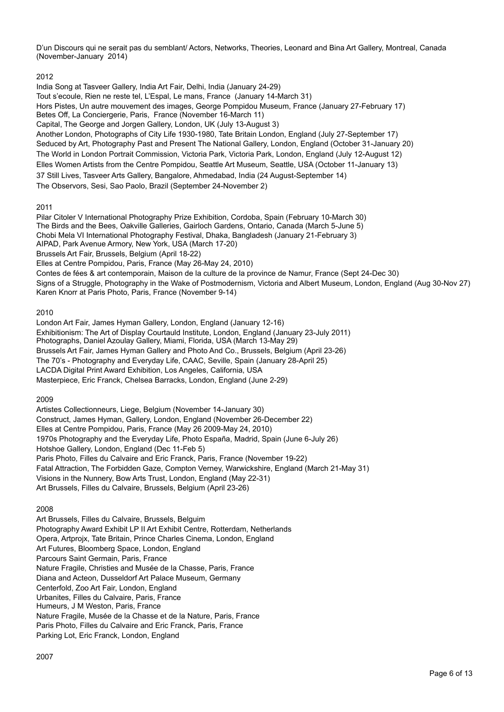D'un Discours qui ne serait pas du semblant/ Actors, Networks, Theories, Leonard and Bina Art Gallery, Montreal, Canada (November-January 2014)

# 2012

India Song at Tasveer Gallery, India Art Fair, Delhi, India (January 24-29) Tout s'ecoule, Rien ne reste tel, L'Espal, Le mans, France (January 14-March 31) Hors Pistes, Un autre mouvement des images, George Pompidou Museum, France (January 27-February 17) Betes Off, La Conciergerie, Paris, France (November 16-March 11) Capital, The George and Jorgen Gallery, London, UK (July 13-August 3) Another London, Photographs of City Life 1930-1980, Tate Britain London, England (July 27-September 17) Seduced by Art, Photography Past and Present The National Gallery, London, England (October 31-January 20) The World in London Portrait Commission, Victoria Park, Victoria Park, London, England (July 12-August 12) Elles Women Artists from the Centre Pompidou, Seattle Art Museum, Seattle, USA (October 11-January 13) 37 Still Lives, Tasveer Arts Gallery, Bangalore, Ahmedabad, India (24 August-September 14) The Observors, Sesi, Sao Paolo, Brazil (September 24-November 2)

2011

Pilar Citoler V International Photography Prize Exhibition, Cordoba, Spain (February 10-March 30) The Birds and the Bees, Oakville Galleries, Gairloch Gardens, Ontario, Canada (March 5-June 5) Chobi Mela VI International Photography Festival, Dhaka, Bangladesh (January 21-February 3) AIPAD, Park Avenue Armory, New York, USA (March 17-20) Brussels Art Fair, Brussels, Belgium (April 18-22) Elles at Centre Pompidou, Paris, France (May 26-May 24, 2010) Contes de fées & art contemporain, Maison de la culture de la province de Namur, France (Sept 24-Dec 30) Signs of a Struggle, Photography in the Wake of Postmodernism, Victoria and Albert Museum, London, England (Aug 30-Nov 27) Karen Knorr at Paris Photo, Paris, France (November 9-14)

# 2010

London Art Fair, James Hyman Gallery, London, England (January 12-16) Exhibitionism: The Art of Display Courtauld Institute, London, England (January 23-July 2011) Photographs, Daniel Azoulay Gallery, Miami, Florida, USA (March 13-May 29) Brussels Art Fair, James Hyman Gallery and Photo And Co., Brussels, Belgium (April 23-26) The 70's - Photography and Everyday Life, CAAC, Seville, Spain (January 28-April 25) LACDA Digital Print Award Exhibition, Los Angeles, California, USA Masterpiece, Eric Franck, Chelsea Barracks, London, England (June 2-29)

2009

Artistes Collectionneurs, Liege, Belgium (November 14-January 30) Construct, James Hyman, Gallery, London, England (November 26-December 22) Elles at Centre Pompidou, Paris, France (May 26 2009-May 24, 2010) 1970s Photography and the Everyday Life, Photo España, Madrid, Spain (June 6-July 26) Hotshoe Gallery, London, England (Dec 11-Feb 5) Paris Photo, Filles du Calvaire and Eric Franck, Paris, France (November 19-22) Fatal Attraction, The Forbidden Gaze, Compton Verney, Warwickshire, England (March 21-May 31) Visions in the Nunnery, Bow Arts Trust, London, England (May 22-31) Art Brussels, Filles du Calvaire, Brussels, Belgium (April 23-26)

# 2008

Art Brussels, Filles du Calvaire, Brussels, Belguim Photography Award Exhibit LP II Art Exhibit Centre, Rotterdam, Netherlands Opera, Artprojx, Tate Britain, Prince Charles Cinema, London, England Art Futures, Bloomberg Space, London, England Parcours Saint Germain, Paris, France Nature Fragile, Christies and Musée de la Chasse, Paris, France Diana and Acteon, Dusseldorf Art Palace Museum, Germany Centerfold, Zoo Art Fair, London, England Urbanites, Filles du Calvaire, Paris, France Humeurs, J M Weston, Paris, France Nature Fragile, Musée de la Chasse et de la Nature, Paris, France Paris Photo, Filles du Calvaire and Eric Franck, Paris, France Parking Lot, Eric Franck, London, England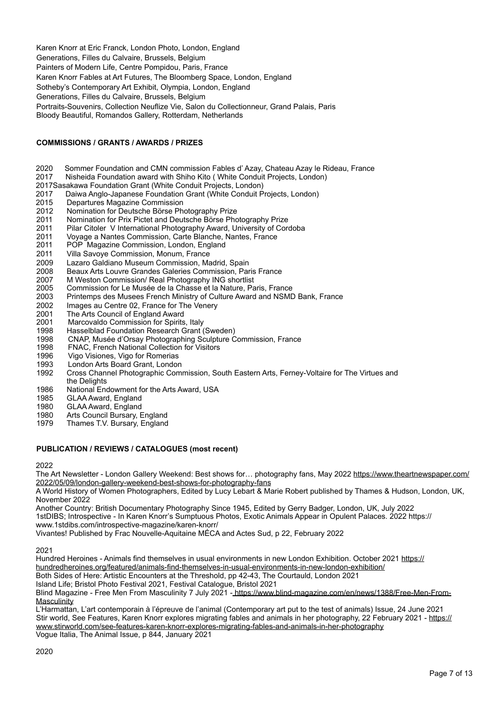Karen Knorr at Eric Franck, London Photo, London, England Generations, Filles du Calvaire, Brussels, Belgium Painters of Modern Life, Centre Pompidou, Paris, France Karen Knorr Fables at Art Futures, The Bloomberg Space, London, England Sotheby's Contemporary Art Exhibit, Olympia, London, England Generations, Filles du Calvaire, Brussels, Belgium Portraits-Souvenirs, Collection Neuflize Vie, Salon du Collectionneur, Grand Palais, Paris Bloody Beautiful, Romandos Gallery, Rotterdam, Netherlands

# **COMMISSIONS / GRANTS / AWARDS / PRIZES**

- 2020 Sommer Foundation and CMN commission Fables d' Azay, Chateau Azay le Rideau, France
- 2017 Nisheida Foundation award with Shiho Kito ( White Conduit Projects, London)
- 2017Sasakawa Foundation Grant (White Conduit Projects, London)
- 2017 Daiwa Anglo-Japanese Foundation Grant (White Conduit Projects, London)<br>2015 Departures Magazine Commission
- 2015 Departures Magazine Commission<br>2012 Nomination for Deutsche Börse Ph
- Nomination for Deutsche Börse Photography Prize
- 2011 Nomination for Prix Pictet and Deutsche Börse Photography Prize<br>2011 Pilar Citoler V International Photography Award, University of Core
- Pilar Citoler V International Photography Award, University of Cordoba
- 2011 Voyage a Nantes Commission, Carte Blanche, Nantes, France
- POP Magazine Commission, London, England
- 2011 Villa Savoye Commission, Monum, France<br>2009 Lazaro Galdiano Museum Commission, Ma
- 2009 Lazaro Galdiano Museum Commission, Madrid, Spain
- Beaux Arts Louvre Grandes Galeries Commission, Paris France
- 2007 M Weston Commission/ Real Photography ING shortlist
- 2005 Commission for Le Musée de la Chasse et la Nature, Paris, France
- 2003 Printemps des Musees French Ministry of Culture Award and NSMD Bank, France
- 2002 Images au Centre 02, France for The Venery<br>2001 The Arts Council of Fngland Award
- The Arts Council of England Award
- 2001 Marcovaldo Commission for Spirits, Italy
- 1998 Hasselblad Foundation Research Grant (Sweden)<br>1998 CNAP Musée d'Orsay Photographing Sculpture C
- 1998 CNAP, Musée d'Orsay Photographing Sculpture Commission, France<br>1998 FNAC, French National Collection for Visitors
- 1998 FNAC, French National Collection for Visitors<br>1996 Vigo Visiones, Vigo for Romerias
- 1996 Vigo Visiones, Vigo for Romerias<br>1993 London Arts Board Grant, Londor
- 1993 London Arts Board Grant, London<br>1992 Cross Channel Photographic Comi
- Cross Channel Photographic Commission, South Eastern Arts, Ferney-Voltaire for The Virtues and the Delights
- 1986 National Endowment for the Arts Award, USA
- 1985 GLAA Award, England<br>1980 GLAA Award, England
- GLAA Award, England
- 1980 Arts Council Bursary, England<br>1979 Thames TV Bursary, England
- Thames T.V. Bursary, England

### **PUBLICATION / REVIEWS / CATALOGUES (most recent)**

#### 2022

The Art Newsletter - London Gallery Weekend: Best shows for... photography fans, May 2022 [https://www.theartnewspaper.com/](https://www.theartnewspaper.com/2022/05/09/london-gallery-weekend-best-shows-for-photography-fans) [2022/05/09/london-gallery-weekend-best-shows-for-photography-fans](https://www.theartnewspaper.com/2022/05/09/london-gallery-weekend-best-shows-for-photography-fans)

A World History of Women Photographers, Edited by Lucy Lebart & Marie Robert published by Thames & Hudson, London, UK, November 2022

Another Country: British Documentary Photography Since 1945, Edited by Gerry Badger, London, UK, July 2022 1stDIBS; Introspective - In Karen Knorr's Sumptuous Photos, Exotic Animals Appear in Opulent Palaces. 2022 https:// www.1stdibs.com/introspective-magazine/karen-knorr/

Vivantes! Published by Frac Nouvelle-Aquitaine MÉCA and Actes Sud, p 22, February 2022

#### 2021

Hundred Heroines - Animals find themselves in usual environments in new London Exhibition. October 2021 [https://](https://hundredheroines.org/featured/animals-find-themselves-in-usual-environments-in-new-london-exhibition/) [hundredheroines.org/featured/animals-find-themselves-in-usual-environments-in-new-london-exhibition/](https://hundredheroines.org/featured/animals-find-themselves-in-usual-environments-in-new-london-exhibition/) Both Sides of Here: Artistic Encounters at the Threshold, pp 42-43, The Courtauld, London 2021

Island Life; Bristol Photo Festival 2021, Festival Catalogue, Bristol 2021

Blind Magazine - Free Men From Masculinity 7 July 2021 - [https://www.blind-magazine.com/en/news/1388/Free-Men-From-](https://www.blind-magazine.com/en/news/1388/Free-Men-From-Masculinity)**[Masculinity](https://www.blind-magazine.com/en/news/1388/Free-Men-From-Masculinity)** 

L'Harmattan, L'art contemporain à l'épreuve de l'animal (Contemporary art put to the test of animals) Issue, 24 June 2021 Stir world, See Features, Karen Knorr explores migrating fables and animals in her photography, 22 February 2021 - [https://](https://www.stirworld.com/see-features-karen-knorr-explores-migrating-fables-and-animals-in-her-photography) [www.stirworld.com/see-features-karen-knorr-explores-migrating-fables-and-animals-in-her-photography](https://www.stirworld.com/see-features-karen-knorr-explores-migrating-fables-and-animals-in-her-photography) Vogue Italia, The Animal Issue, p 844, January 2021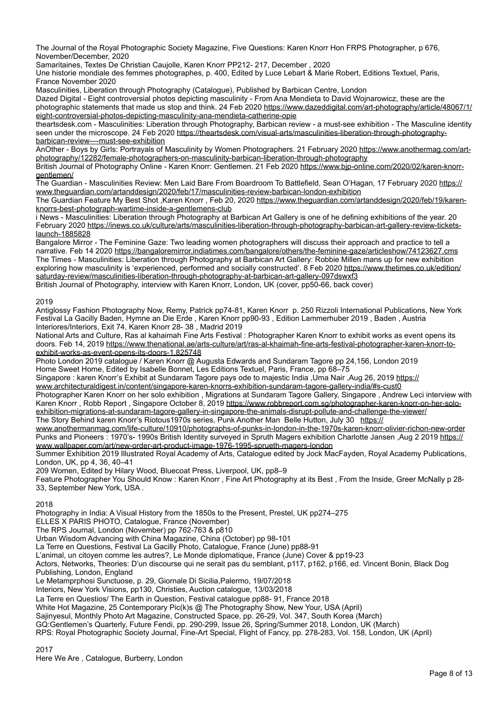The Journal of the Royal Photographic Society Magazine, Five Questions: Karen Knorr Hon FRPS Photographer, p 676, November/December, 2020

Samaritaines, Textes De Christian Caujolle, Karen Knorr PP212- 217, December , 2020

Une historie mondiale des femmes photographes, p. 400, Edited by Luce Lebart & Marie Robert, Editions Textuel, Paris, France November 2020

Masculinities, Liberation through Photography (Catalogue), Published by Barbican Centre, London

Dazed Digital - Eight controversial photos depicting masculinity - From Ana Mendieta to David Wojnarowicz, these are the photographic statements that made us stop and think. 24 Feb 2020 [https://www.dazeddigital.com/art-photography/article/48067/1/](https://www.dazeddigital.com/art-photography/article/48067/1/eight-controversial-photos-depicting-masculinity-ana-mendieta-catherine-opie) [eight-controversial-photos-depicting-masculinity-ana-mendieta-catherine-opie](https://www.dazeddigital.com/art-photography/article/48067/1/eight-controversial-photos-depicting-masculinity-ana-mendieta-catherine-opie)

theartsdesk.com - Masculinities: Liberation through Photography, Barbican review - a must-see exhibition - The Masculine identity seen under the microscope. 24 Feb 2020 [https://theartsdesk.com/visual-arts/masculinities-liberation-through-photography](https://theartsdesk.com/visual-arts/masculinities-liberation-through-photography-barbican-review-%E2%80%93-must-see-exhibition)[barbican-review-–-must-see-exhibition](https://theartsdesk.com/visual-arts/masculinities-liberation-through-photography-barbican-review-%E2%80%93-must-see-exhibition)

AnOther - Boys by Girls: Portrayals of Masculinity by Women Photographers. 21 February 2020 [https://www.anothermag.com/art](https://www.anothermag.com/art-photography/12282/female-photographers-on-masculinity-barbican-liberation-through-photography)[photography/12282/female-photographers-on-masculinity-barbican-liberation-through-photography](https://www.anothermag.com/art-photography/12282/female-photographers-on-masculinity-barbican-liberation-through-photography)

British Journal of Photography Online - Karen Knorr: Gentlemen. 21 Feb 2020 [https://www.bjp-online.com/2020/02/karen-knorr](https://www.bjp-online.com/2020/02/karen-knorr-gentlemen/)[gentlemen/](https://www.bjp-online.com/2020/02/karen-knorr-gentlemen/)

The Guardian - Masculinities Review: Men Laid Bare From Boardroom To Battlefield, Sean O'Hagan, 17 February 2020 https:// www.theguardian.com/artanddesign/2020/feb/17/masculinities-review-barbican-london-exhibition

The Guardian Feature My Best Shot ,Karen Knorr , Feb 20, 2020 [https://www.theguardian.com/artanddesign/2020/feb/19/karen](https://www.theguardian.com/artanddesign/2020/feb/19/karen-knorrs-best-photograph-wartime-inside-a-gentlemens-club)[knorrs-best-photograph-wartime-inside-a-gentlemens-club](https://www.theguardian.com/artanddesign/2020/feb/19/karen-knorrs-best-photograph-wartime-inside-a-gentlemens-club)

i News - Masculinities: Liberation through Photography at Barbican Art Gallery is one of he defining exhibitions of the year. 20 February 2020 [https://inews.co.uk/culture/arts/masculinities-liberation-through-photography-barbican-art-gallery-review-tickets](https://inews.co.uk/culture/arts/masculinities-liberation-through-photography-barbican-art-gallery-review-tickets-launch-1885828)[launch-1885828](https://inews.co.uk/culture/arts/masculinities-liberation-through-photography-barbican-art-gallery-review-tickets-launch-1885828)

Bangalore Mirror - The Feminine Gaze: Two leading women photographers will discuss their approach and practice to tell a narrative. Feb 14 2020 <https://bangaloremirror.indiatimes.com/bangalore/others/the-feminine-gaze/articleshow/74123627.cms> The Times - Masculinities: Liberation through Photography at Barbican Art Gallery: Robbie Millen mans up for new exhibition exploring how masculinity is 'experienced, performed and socially constructed'. 8 Feb 2020 [https://www.thetimes.co.uk/edition/](https://www.thetimes.co.uk/edition/saturday-review/masculinities-liberation-through-photography-at-barbican-art-gallery-097dswxf3) [saturday-review/masculinities-liberation-through-photography-at-barbican-art-gallery-097dswxf3](https://www.thetimes.co.uk/edition/saturday-review/masculinities-liberation-through-photography-at-barbican-art-gallery-097dswxf3) British Journal of Photography, interview with Karen Knorr, London, UK (cover, pp50-66, back cover)

2019

Antiglossy Fashion Photography Now, Remy, Patrick pp74-81, Karen Knorr p. 250 Rizzoli International Publications, New York Festival La Gacilly Baden, Hymne an Die Erde , Karen Knorr pp90-93 , Edition Lammerhuber 2019 , Baden , Austria Interiores/Interiors, Exit 74, Karen Knorr 28- 38 , Madrid 2019

National Arts and Culture, Ras al kahaimah Fine Arts Festival : Photographer Karen Knorr to exhibit works as event opens its doors. Feb 14, 2019 [https://www.thenational.ae/arts-culture/art/ras-al-khaimah-fine-arts-festival-photographer-karen-knorr-to](https://www.thenational.ae/arts-culture/art/ras-al-khaimah-fine-arts-festival-photographer-karen-knorr-to-exhibit-works-as-event-opens-its-doors-1.825748)[exhibit-works-as-event-opens-its-doors-1.825748](https://www.thenational.ae/arts-culture/art/ras-al-khaimah-fine-arts-festival-photographer-karen-knorr-to-exhibit-works-as-event-opens-its-doors-1.825748)

Photo London 2019 catalogue / Karen Knorr @ Augusta Edwards and Sundaram Tagore pp 24,156, London 2019 Home Sweet Home, Edited by Isabelle Bonnet, Les Editions Textuel, Paris, France, pp 68–75

Singapore : karen Knorr's Exhibit at Sundaram Tagore pays ode to majestic India ,Uma Nair ,Aug 26, 2019 [https://](https://www.architecturaldigest.in/content/singapore-karen-knorrs-exhibition-sundaram-tagore-gallery-india/#s-cust0) [www.architecturaldigest.in/content/singapore-karen-knorrs-exhibition-sundaram-tagore-gallery-india/#s-cust0](https://www.architecturaldigest.in/content/singapore-karen-knorrs-exhibition-sundaram-tagore-gallery-india/#s-cust0)

Photographer Karen Knorr on her solo exhibition, Migrations at Sundaram Tagore Gallery, Singapore, Andrew Leci interview with Karen Knorr , Robb Report , Singapore October 8, 2019 [https://www.robbreport.com.sg/photographer-karen-knorr-on-her-solo](https://www.robbreport.com.sg/photographer-karen-knorr-on-her-solo-exhibition-migrations-at-sundaram-tagore-gallery-in-singapore-the-animals-disrupt-pollute-and-challenge-the-viewer/)[exhibition-migrations-at-sundaram-tagore-gallery-in-singapore-the-animals-disrupt-pollute-and-challenge-the-viewer/](https://www.robbreport.com.sg/photographer-karen-knorr-on-her-solo-exhibition-migrations-at-sundaram-tagore-gallery-in-singapore-the-animals-disrupt-pollute-and-challenge-the-viewer/)

The Story Behind karen Knorr's Riotous1970s series, Punk Another Man Belle Hutton, July 30 [https://](https://www.anothermanmag.com/life-culture/10910/photographs-of-punks-in-london-in-the-1970s-karen-knorr-olivier-richon-new-order)

[www.anothermanmag.com/life-culture/10910/photographs-of-punks-in-london-in-the-1970s-karen-knorr-olivier-richon-new-order](https://www.anothermanmag.com/life-culture/10910/photographs-of-punks-in-london-in-the-1970s-karen-knorr-olivier-richon-new-order) Punks and Pioneers : 1970's- 1990s British Identity surveyed in Spruth Magers exhibition Charlotte Jansen, Aug 2 2019 [https://](https://www.wallpaper.com/art/new-order-art-product-image-1976-1995-sprueth-magers-london) [www.wallpaper.com/art/new-order-art-product-image-1976-1995-sprueth-magers-london](https://www.wallpaper.com/art/new-order-art-product-image-1976-1995-sprueth-magers-london)

Summer Exhibition 2019 Illustrated Royal Academy of Arts, Catalogue edited by Jock MacFayden, Royal Academy Publications, London, UK, pp 4, 36, 40–41

209 Women, Edited by Hilary Wood, Bluecoat Press, Liverpool, UK, pp8–9

Feature Photographer You Should Know : Karen Knorr , Fine Art Photography at its Best , From the Inside, Greer McNally p 28- 33, September New York, USA .

2018

Photography in India: A Visual History from the 1850s to the Present, Prestel, UK pp274–275

ELLES X PARIS PHOTO, Catalogue, France (November)

The RPS Journal, London (November) pp 762-763 & p810

Urban Wisdom Advancing with China Magazine, China (October) pp 98-101

La Terre en Questions, Festival La Gacilly Photo, Catalogue, France (June) pp88-91

L'animal, un citoyen comme les autres?, Le Monde diplomatique, France (June) Cover & pp19-23

Actors, Networks, Theories: D'un discourse qui ne serait pas du semblant, p117, p162, p166, ed. Vincent Bonin, Black Dog Publishing, London, England

Le Metamprphosi Sunctuose, p. 29, Giornale Di Sicilia,Palermo, 19/07/2018

Interiors, New York Visions, pp130, Christies, Auction catalogue, 13/03/2018

La Terre en Questios/ The Earth in Question, Festival catalogue pp88- 91, France 2018

White Hot Magazine, 25 Contemporary Pic(k)s @ The Photography Show, New Your, USA (April)

Sajinyesul, Monthly Photo Art Magazine, Constructed Space, pp. 26-29, Vol. 347, South Korea (March)

GQ:Gentlemen's Quarterly, Future Fendi, pp. 290-299, Issue 26, Spring/Summer 2018, London, UK (March)

RPS: Royal Photographic Society Journal, Fine-Art Special, Flight of Fancy, pp. 278-283, Vol. 158, London, UK (April)

2017

Here We Are , Catalogue, Burberry, London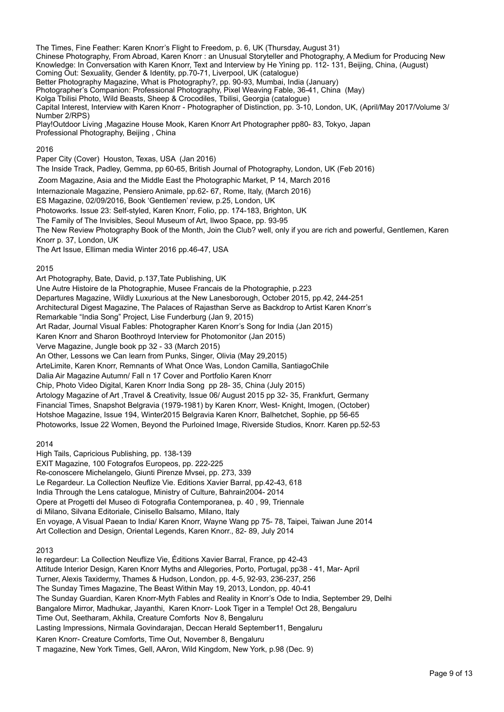The Times, Fine Feather: Karen Knorr's Flight to Freedom, p. 6, UK (Thursday, August 31) Chinese Photography, From Abroad, Karen Knorr : an Unusual Storyteller and Photography, A Medium for Producing New Knowledge: In Conversation with Karen Knorr, Text and Interview by He Yining pp. 112- 131, Beijing, China, (August) Coming Out: Sexuality, Gender & Identity, pp.70-71, Liverpool, UK (catalogue) Better Photography Magazine, What is Photography?, pp. 90-93, Mumbai, India (January) Photographer's Companion: Professional Photography, Pixel Weaving Fable, 36-41, China (May) Kolga Tbilisi Photo, Wild Beasts, Sheep & Crocodiles, Tbilisi, Georgia (catalogue) Capital Interest, Interview with Karen Knorr - Photographer of Distinction, pp. 3-10, London, UK, (April/May 2017/Volume 3/ Number 2/RPS) Play!Outdoor Living ,Magazine House Mook, Karen Knorr Art Photographer pp80- 83, Tokyo, Japan Professional Photography, Beijing , China

## 2016

Paper City (Cover) Houston, Texas, USA (Jan 2016) The Inside Track, Padley, Gemma, pp 60-65, British Journal of Photography, London, UK (Feb 2016) Zoom Magazine, Asia and the Middle East the Photographic Market, P 14, March 2016 Internazionale Magazine, Pensiero Animale, pp.62- 67, Rome, Italy, (March 2016) ES Magazine, 02/09/2016, Book 'Gentlemen' review, p.25, London, UK Photoworks. Issue 23: Self-styled, Karen Knorr, Folio, pp. 174-183, Brighton, UK The Family of The Invisibles, Seoul Museum of Art, Ilwoo Space, pp. 93-95

The New Review Photography Book of the Month, Join the Club? well, only if you are rich and powerful, Gentlemen, Karen

Knorr p. 37, London, UK The Art Issue, Elliman media Winter 2016 pp.46-47, USA

# 2015

Art Photography, Bate, David, p.137,Tate Publishing, UK Une Autre Histoire de la Photographie, Musee Francais de la Photographie, p.223 Departures Magazine, Wildly Luxurious at the New Lanesborough, October 2015, pp.42, 244-251 Architectural Digest Magazine, The Palaces of Rajasthan Serve as Backdrop to Artist Karen Knorr's Remarkable "India Song" Project, Lise Funderburg (Jan 9, 2015) Art Radar, Journal Visual Fables: Photographer Karen Knorr's Song for India (Jan 2015) Karen Knorr and Sharon Boothroyd Interview for Photomonitor (Jan 2015) Verve Magazine, Jungle book pp 32 - 33 (March 2015) An Other, Lessons we Can learn from Punks, Singer, Olivia (May 29,2015) ArteLimite, Karen Knorr, Remnants of What Once Was, London Camilla, SantiagoChile Dalia Air Magazine Autumn/ Fall n 17 Cover and Portfolio Karen Knorr Chip, Photo Video Digital, Karen Knorr India Song pp 28- 35, China (July 2015) Artology Magazine of Art ,Travel & Creativity, Issue 06/ August 2015 pp 32- 35, Frankfurt, Germany Financial Times, Snapshot Belgravia (1979-1981) by Karen Knorr, West- Knight, Imogen, (October) Hotshoe Magazine, Issue 194, Winter2015 Belgravia Karen Knorr, Balhetchet, Sophie, pp 56-65 Photoworks, Issue 22 Women, Beyond the Purloined Image, Riverside Studios, Knorr. Karen pp.52-53

## 2014

High Tails, Capricious Publishing, pp. 138-139

EXIT Magazine, 100 Fotografos Europeos, pp. 222-225

Re-conoscere Michelangelo, Giunti Pirenze Mvsei, pp. 273, 339

Le Regardeur. La Collection Neuflize Vie. Editions Xavier Barral, pp.42-43, 618

India Through the Lens catalogue, Ministry of Culture, Bahrain2004- 2014

Opere at Progetti del Museo di Fotografia Contemporanea, p. 40 , 99, Triennale

di Milano, Silvana Editoriale, Cinisello Balsamo, Milano, Italy

En voyage, A Visual Paean to India/ Karen Knorr, Wayne Wang pp 75- 78, Taipei, Taiwan June 2014 Art Collection and Design, Oriental Legends, Karen Knorr., 82- 89, July 2014

2013

le regardeur: La Collection Neuflize Vie, Éditions Xavier Barral, France, pp 42-43 Attitude Interior Design, Karen Knorr Myths and Allegories, Porto, Portugal, pp38 - 41, Mar- April Turner, Alexis Taxidermy, Thames & Hudson, London, pp. 4-5, 92-93, 236-237, 256 The Sunday Times Magazine, The Beast Within May 19, 2013, London, pp. 40-41 The Sunday Guardian, Karen Knorr-Myth Fables and Reality in Knorr's Ode to India, September 29, Delhi Bangalore Mirror, Madhukar, Jayanthi, Karen Knorr- Look Tiger in a Temple! Oct 28, Bengaluru Time Out, Seetharam, Akhila, Creature Comforts Nov 8, Bengaluru Lasting Impressions, Nirmala Govindarajan, Deccan Herald September11, Bengaluru Karen Knorr- Creature Comforts, Time Out, November 8, Bengaluru T magazine, New York Times, Gell, AAron, Wild Kingdom, New York, p.98 (Dec. 9)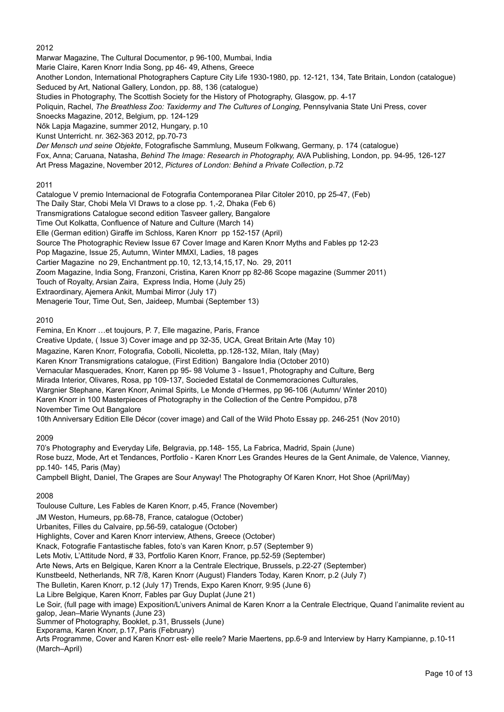2012

Marwar Magazine, The Cultural Documentor, p 96-100, Mumbai, India Marie Claire, Karen Knorr India Song, pp 46- 49, Athens, Greece Another London, International Photographers Capture City Life 1930-1980, pp. 12-121, 134, Tate Britain, London (catalogue) Seduced by Art, National Gallery, London, pp. 88, 136 (catalogue) Studies in Photography, The Scottish Society for the History of Photography, Glasgow, pp. 4-17 Poliquin, Rachel, The Breathless Zoo: Taxidermy and The Cultures of Longing, Pennsylvania State Uni Press, cover Snoecks Magazine, 2012, Belgium, pp. 124-129 Nők Lapja Magazine, summer 2012, Hungary, p.10 Kunst Unterricht. nr. 362-363 2012, pp.70-73 *Der Mensch und seine Objekte*, Fotografische Sammlung, Museum Folkwang, Germany, p. 174 (catalogue) Fox, Anna; Caruana, Natasha, *Behind The Image: Research in Photography,* AVA Publishing, London, pp. 94-95, 126-127 Art Press Magazine, November 2012, *Pictures of London: Behind a Private Collection*, p.72

# 2011

Catalogue V premio Internacional de Fotografia Contemporanea Pilar Citoler 2010, pp 25-47, (Feb) The Daily Star, Chobi Mela VI Draws to a close pp. 1,-2, Dhaka (Feb 6) Transmigrations Catalogue second edition Tasveer gallery, Bangalore Time Out Kolkatta, Confluence of Nature and Culture (March 14) Elle (German edition) Giraffe im Schloss, Karen Knorr pp 152-157 (April) Source The Photographic Review Issue 67 Cover Image and Karen Knorr Myths and Fables pp 12-23 Pop Magazine, Issue 25, Autumn, Winter MMXI, Ladies, 18 pages Cartier Magazine no 29, Enchantment pp.10, 12,13,14,15,17, No. 29, 2011 Zoom Magazine, India Song, Franzoni, Cristina, Karen Knorr pp 82-86 Scope magazine (Summer 2011) Touch of Royalty, Arsian Zaira, Express India, Home (July 25) Extraordinary, Ajemera Ankit, Mumbai Mirror (July 17) Menagerie Tour, Time Out, Sen, Jaideep, Mumbai (September 13)

# 2010

Femina, En Knorr …et toujours, P. 7, Elle magazine, Paris, France Creative Update, ( Issue 3) Cover image and pp 32-35, UCA, Great Britain Arte (May 10) Magazine, Karen Knorr, Fotografia, Cobolli, Nicoletta, pp.128-132, Milan, Italy (May) Karen Knorr Transmigrations catalogue, (First Edition) Bangalore India (October 2010) Vernacular Masquerades, Knorr, Karen pp 95- 98 Volume 3 - Issue1, Photography and Culture, Berg Mirada Interior, Olivares, Rosa, pp 109-137, Socieded Estatal de Conmemoraciones Culturales, Wargnier Stephane, Karen Knorr, Animal Spirits, Le Monde d'Hermes, pp 96-106 (Autumn/ Winter 2010) Karen Knorr in 100 Masterpieces of Photography in the Collection of the Centre Pompidou, p78 November Time Out Bangalore 10th Anniversary Edition Elle Décor (cover image) and Call of the Wild Photo Essay pp. 246-251 (Nov 2010)

# 2009

70's Photography and Everyday Life, Belgravia, pp.148- 155, La Fabrica, Madrid, Spain (June) Rose buzz, Mode, Art et Tendances, Portfolio - Karen Knorr Les Grandes Heures de la Gent Animale, de Valence, Vianney, pp.140- 145, Paris (May) Campbell Blight, Daniel, The Grapes are Sour Anyway! The Photography Of Karen Knorr, Hot Shoe (April/May)

2008

Toulouse Culture, Les Fables de Karen Knorr, p.45, France (November) JM Weston, Humeurs, pp.68-78, France, catalogue (October) Urbanites, Filles du Calvaire, pp.56-59, catalogue (October) Highlights, Cover and Karen Knorr interview, Athens, Greece (October) Knack, Fotografie Fantastische fables, foto's van Karen Knorr, p.57 (September 9) Lets Motiv, L'Attitude Nord, # 33, Portfolio Karen Knorr, France, pp.52-59 (September) Arte News, Arts en Belgique, Karen Knorr a la Centrale Electrique, Brussels, p.22-27 (September) Kunstbeeld, Netherlands, NR 7/8, Karen Knorr (August) Flanders Today, Karen Knorr, p.2 (July 7) The Bulletin, Karen Knorr, p.12 (July 17) Trends, Expo Karen Knorr, 9:95 (June 6) La Libre Belgique, Karen Knorr, Fables par Guy Duplat (June 21) Le Soir, (full page with image) Exposition/L'univers Animal de Karen Knorr a la Centrale Electrique, Quand l'animalite revient au galop, Jean–Marie Wynants (June 23) Summer of Photography, Booklet, p.31, Brussels (June) Exporama, Karen Knorr, p.17, Paris (February) Arts Programme, Cover and Karen Knorr est- elle reele? Marie Maertens, pp.6-9 and Interview by Harry Kampianne, p.10-11 (March–April)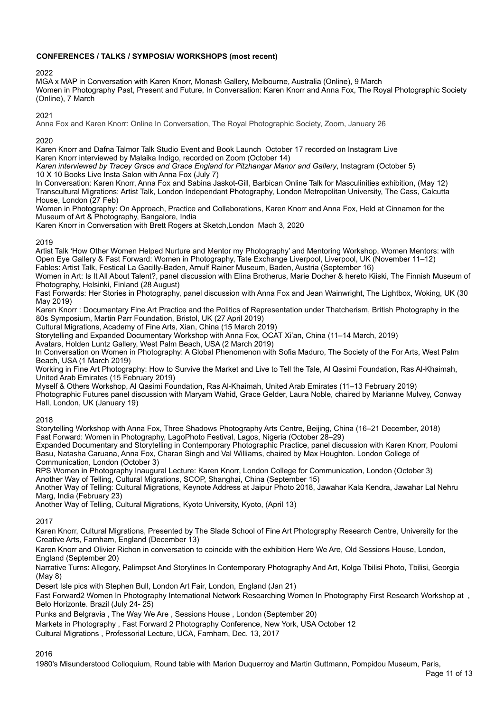# **CONFERENCES / TALKS / SYMPOSIA/ WORKSHOPS (most recent)**

### 2022

MGA x MAP in Conversation with Karen Knorr, Monash Gallery, Melbourne, Australia (Online), 9 March Women in Photography Past, Present and Future, In Conversation: Karen Knorr and Anna Fox, The Royal Photographic Society (Online), 7 March

## 2021

Anna Fox and Karen Knorr: Online In Conversation, The Royal Photographic Society, Zoom, January 26

### 2020

Karen Knorr and Dafna Talmor Talk Studio Event and Book Launch October 17 recorded on Instagram Live

Karen Knorr interviewed by Malaika Indigo, recorded on Zoom (October 14)

*Karen interviewed by Tracey Grace and Grace England for Pitzhangar Manor and Gallery*, Instagram (October 5) 10 X 10 Books Live Insta Salon with Anna Fox (July 7)

In Conversation: Karen Knorr, Anna Fox and Sabina Jaskot-Gill, Barbican Online Talk for Masculinities exhibition, (May 12) Transcultural Migrations: Artist Talk, London Independant Photography, London Metropolitan University, The Cass, Calcutta House, London (27 Feb)

Women in Photography: On Approach, Practice and Collaborations, Karen Knorr and Anna Fox, Held at Cinnamon for the Museum of Art & Photography, Bangalore, India

Karen Knorr in Conversation with Brett Rogers at Sketch,London Mach 3, 2020

### 2019

Artist Talk 'How Other Women Helped Nurture and Mentor my Photography' and Mentoring Workshop, Women Mentors: with Open Eye Gallery & Fast Forward: Women in Photography, Tate Exchange Liverpool, Liverpool, UK (November 11–12) Fables: Artist Talk, Festical La Gacilly-Baden, Arnulf Rainer Museum, Baden, Austria (September 16)

Women in Art: Is It All About Talent?, panel discussion with Elina Brotherus, Marie Docher & hereto Kiiski, The Finnish Museum of Photography, Helsinki, Finland (28 August)

Fast Forwards: Her Stories in Photography, panel discussion with Anna Fox and Jean Wainwright, The Lightbox, Woking, UK (30 May 2019)

Karen Knorr : Documentary Fine Art Practice and the Politics of Representation under Thatcherism, British Photography in the 80s Symposium, Martin Parr Foundation, Bristol, UK (27 April 2019)

Cultural Migrations, Academy of Fine Arts, Xian, China (15 March 2019)

Storytelling and Expanded Documentary Workshop with Anna Fox, OCAT Xi'an, China (11–14 March, 2019)

Avatars, Holden Luntz Gallery, West Palm Beach, USA (2 March 2019)

In Conversation on Women in Photography: A Global Phenomenon with Sofia Maduro, The Society of the For Arts, West Palm Beach, USA (1 March 2019)

Working in Fine Art Photography: How to Survive the Market and Live to Tell the Tale, Al Qasimi Foundation, Ras Al-Khaimah, United Arab Emirates (15 February 2019)

Myself & Others Workshop, Al Qasimi Foundation, Ras Al-Khaimah, United Arab Emirates (11–13 February 2019) Photographic Futures panel discussion with Maryam Wahid, Grace Gelder, Laura Noble, chaired by Marianne Mulvey, Conway Hall, London, UK (January 19)

## 2018

Storytelling Workshop with Anna Fox, Three Shadows Photography Arts Centre, Beijing, China (16–21 December, 2018) Fast Forward: Women in Photography, LagoPhoto Festival, Lagos, Nigeria (October 28–29)

Expanded Documentary and Storytelling in Contemporary Photographic Practice, panel discussion with Karen Knorr, Poulomi Basu, Natasha Caruana, Anna Fox, Charan Singh and Val Williams, chaired by Max Houghton. London College of Communication, London (October 3)

RPS Women in Photography Inaugural Lecture: Karen Knorr, London College for Communication, London (October 3) Another Way of Telling, Cultural Migrations, SCOP, Shanghai, China (September 15)

Another Way of Telling: Cultural Migrations, Keynote Address at Jaipur Photo 2018, Jawahar Kala Kendra, Jawahar Lal Nehru Marg, India (February 23)

Another Way of Telling, Cultural Migrations, Kyoto University, Kyoto, (April 13)

2017

Karen Knorr, Cultural Migrations, Presented by The Slade School of Fine Art Photography Research Centre, University for the Creative Arts, Farnham, England (December 13)

Karen Knorr and Olivier Richon in conversation to coincide with the exhibition Here We Are, Old Sessions House, London, England (September 20)

Narrative Turns: Allegory, Palimpset And Storylines In Contemporary Photography And Art, Kolga Tbilisi Photo, Tbilisi, Georgia (May 8)

Desert Isle pics with Stephen Bull, London Art Fair, London, England (Jan 21)

Fast Forward2 Women In Photography International Network Researching Women In Photography First Research Workshop at , Belo Horizonte. Brazil (July 24- 25)

Punks and Belgravia , The Way We Are , Sessions House , London (September 20)

Markets in Photography , Fast Forward 2 Photography Conference, New York, USA October 12

Cultural Migrations , Professorial Lecture, UCA, Farnham, Dec. 13, 2017

## 2016

1980's Misunderstood Colloquium, Round table with Marion Duquerroy and Martin Guttmann, Pompidou Museum, Paris,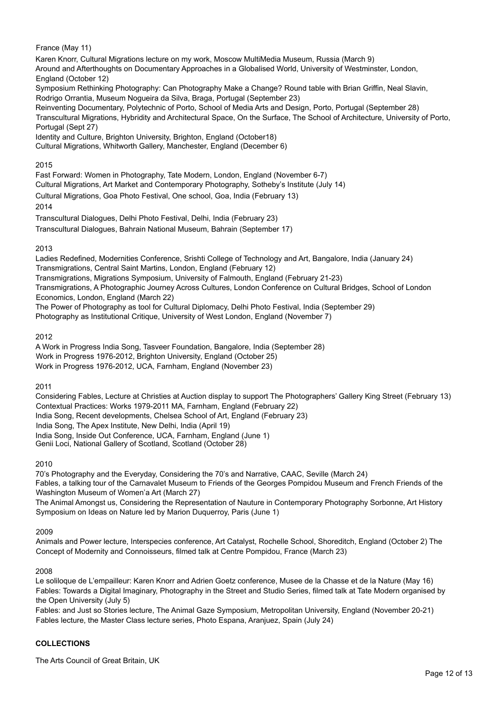France (May 11)

Karen Knorr, Cultural Migrations lecture on my work, Moscow MultiMedia Museum, Russia (March 9) Around and Afterthoughts on Documentary Approaches in a Globalised World, University of Westminster, London, England (October 12) Symposium Rethinking Photography: Can Photography Make a Change? Round table with Brian Griffin, Neal Slavin, Rodrigo Orrantia, Museum Nogueira da Silva, Braga, Portugal (September 23) Reinventing Documentary, Polytechnic of Porto, School of Media Arts and Design, Porto, Portugal (September 28)

Transcultural Migrations, Hybridity and Architectural Space, On the Surface, The School of Architecture, University of Porto, Portugal (Sept 27)

Identity and Culture, Brighton University, Brighton, England (October18)

Cultural Migrations, Whitworth Gallery, Manchester, England (December 6)

## 2015

Fast Forward: Women in Photography, Tate Modern, London, England (November 6-7)

Cultural Migrations, Art Market and Contemporary Photography, Sotheby's Institute (July 14)

Cultural Migrations, Goa Photo Festival, One school, Goa, India (February 13)

2014

Transcultural Dialogues, Delhi Photo Festival, Delhi, India (February 23)

Transcultural Dialogues, Bahrain National Museum, Bahrain (September 17)

# 2013

Ladies Redefined, Modernities Conference, Srishti College of Technology and Art, Bangalore, India (January 24) Transmigrations, Central Saint Martins, London, England (February 12) Transmigrations, Migrations Symposium, University of Falmouth, England (February 21-23) Transmigrations, A Photographic Journey Across Cultures, London Conference on Cultural Bridges, School of London Economics, London, England (March 22) The Power of Photography as tool for Cultural Diplomacy, Delhi Photo Festival, India (September 29) Photography as Institutional Critique, University of West London, England (November 7)

# 2012

A Work in Progress India Song, Tasveer Foundation, Bangalore, India (September 28) Work in Progress 1976-2012, Brighton University, England (October 25) Work in Progress 1976-2012, UCA, Farnham, England (November 23)

# 2011

Considering Fables, Lecture at Christies at Auction display to support The Photographers' Gallery King Street (February 13) Contextual Practices: Works 1979-2011 MA, Farnham, England (February 22) India Song, Recent developments, Chelsea School of Art, England (February 23) India Song, The Apex Institute, New Delhi, India (April 19) India Song, Inside Out Conference, UCA, Farnham, England (June 1) Genii Loci, National Gallery of Scotland, Scotland (October 28)

## 2010

70's Photography and the Everyday, Considering the 70's and Narrative, CAAC, Seville (March 24) Fables, a talking tour of the Carnavalet Museum to Friends of the Georges Pompidou Museum and French Friends of the Washington Museum of Women'a Art (March 27)

The Animal Amongst us, Considering the Representation of Nauture in Contemporary Photography Sorbonne, Art History Symposium on Ideas on Nature led by Marion Duquerroy, Paris (June 1)

## 2009

Animals and Power lecture, Interspecies conference, Art Catalyst, Rochelle School, Shoreditch, England (October 2) The Concept of Modernity and Connoisseurs, filmed talk at Centre Pompidou, France (March 23)

## 2008

Le soliloque de L'empailleur: Karen Knorr and Adrien Goetz conference, Musee de la Chasse et de la Nature (May 16) Fables: Towards a Digital Imaginary, Photography in the Street and Studio Series, filmed talk at Tate Modern organised by the Open University (July 5)

Fables: and Just so Stories lecture, The Animal Gaze Symposium, Metropolitan University, England (November 20-21) Fables lecture, the Master Class lecture series, Photo Espana, Aranjuez, Spain (July 24)

# **COLLECTIONS**

The Arts Council of Great Britain, UK